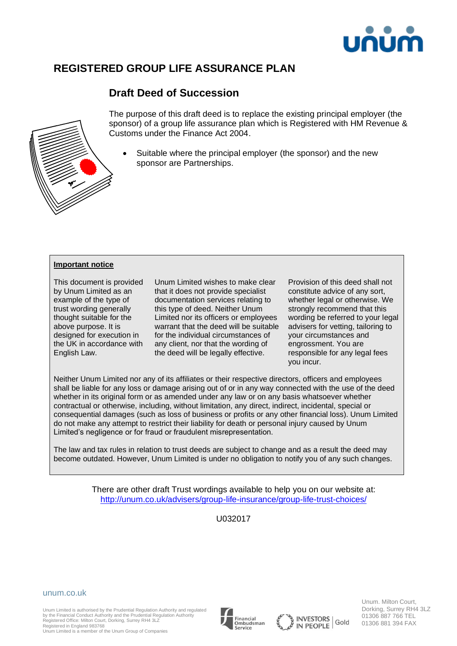

# **REGISTERED GROUP LIFE ASSURANCE PLAN**

# **Draft Deed of Succession**



The purpose of this draft deed is to replace the existing principal employer (the sponsor) of a group life assurance plan which is Registered with HM Revenue & Customs under the Finance Act 2004.

Suitable where the principal employer (the sponsor) and the new sponsor are Partnerships.

#### **Important notice**

This document is provided by Unum Limited as an example of the type of trust wording generally thought suitable for the above purpose. It is designed for execution in the UK in accordance with English Law.

Unum Limited wishes to make clear that it does not provide specialist documentation services relating to this type of deed. Neither Unum Limited nor its officers or employees warrant that the deed will be suitable for the individual circumstances of any client, nor that the wording of the deed will be legally effective.

Provision of this deed shall not constitute advice of any sort, whether legal or otherwise. We strongly recommend that this wording be referred to your legal advisers for vetting, tailoring to your circumstances and engrossment. You are responsible for any legal fees you incur.

Neither Unum Limited nor any of its affiliates or their respective directors, officers and employees shall be liable for any loss or damage arising out of or in any way connected with the use of the deed whether in its original form or as amended under any law or on any basis whatsoever whether contractual or otherwise, including, without limitation, any direct, indirect, incidental, special or consequential damages (such as loss of business or profits or any other financial loss). Unum Limited do not make any attempt to restrict their liability for death or personal injury caused by Unum Limited's negligence or for fraud or fraudulent misrepresentation.

The law and tax rules in relation to trust deeds are subject to change and as a result the deed may become outdated. However, Unum Limited is under no obligation to notify you of any such changes.

> There are other draft Trust wordings available to help you on our website at: <http://unum.co.uk/advisers/group-life-insurance/group-life-trust-choices/>

> > U032017



Unum Limited is authorised by the Prudential Regulation Authority and regulated by the Financial Conduct Authority and the Prudential Regulation Authority Registered Office: Milton Court, Dorking, Surrey RH4 3LZ

Registered in England 983768 Unum Limited is a member of the Unum Group of Companies







Unum. Milton Court, Dorking, Surrey RH4 3LZ 01306 887 766 TEL 01306 881 394 FAX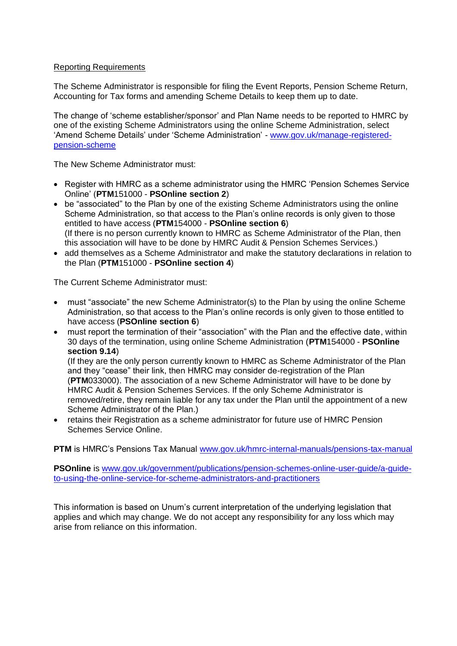## Reporting Requirements

The Scheme Administrator is responsible for filing the Event Reports, Pension Scheme Return, Accounting for Tax forms and amending Scheme Details to keep them up to date.

The change of 'scheme establisher/sponsor' and Plan Name needs to be reported to HMRC by one of the existing Scheme Administrators using the online Scheme Administration, select 'Amend Scheme Details' under 'Scheme Administration' - [www.gov.uk/manage-registered](http://www.gov.uk/manage-registered-pension-scheme)[pension-scheme](http://www.gov.uk/manage-registered-pension-scheme)

The New Scheme Administrator must:

- Register with HMRC as a scheme administrator using the HMRC 'Pension Schemes Service Online' (**PTM**151000 - **PSOnline section 2**)
- be "associated" to the Plan by one of the existing Scheme Administrators using the online Scheme Administration, so that access to the Plan's online records is only given to those entitled to have access (**PTM**154000 - **PSOnline section 6**) (If there is no person currently known to HMRC as Scheme Administrator of the Plan, then this association will have to be done by HMRC Audit & Pension Schemes Services.)
- add themselves as a Scheme Administrator and make the statutory declarations in relation to the Plan (**PTM**151000 - **PSOnline section 4**)

The Current Scheme Administrator must:

- must "associate" the new Scheme Administrator(s) to the Plan by using the online Scheme Administration, so that access to the Plan's online records is only given to those entitled to have access (**PSOnline section 6**)
- must report the termination of their "association" with the Plan and the effective date, within 30 days of the termination, using online Scheme Administration (**PTM**154000 - **PSOnline section 9.14**)

(If they are the only person currently known to HMRC as Scheme Administrator of the Plan and they "cease" their link, then HMRC may consider de-registration of the Plan (**PTM**033000). The association of a new Scheme Administrator will have to be done by HMRC Audit & Pension Schemes Services. If the only Scheme Administrator is removed/retire, they remain liable for any tax under the Plan until the appointment of a new Scheme Administrator of the Plan.)

• retains their Registration as a scheme administrator for future use of HMRC Pension Schemes Service Online.

**PTM** is HMRC's Pensions Tax Manual [www.gov.uk/hmrc-internal-manuals/pensions-tax-manual](http://www.gov.uk/hmrc-internal-manuals/pensions-tax-manual)

**PSOnline** is [www.gov.uk/government/publications/pension-schemes-online-user-guide/a-guide](http://www.gov.uk/government/publications/pension-schemes-online-user-guide/a-guide-to-using-the-online-service-for-scheme-administrators-and-practitioners)[to-using-the-online-service-for-scheme-administrators-and-practitioners](http://www.gov.uk/government/publications/pension-schemes-online-user-guide/a-guide-to-using-the-online-service-for-scheme-administrators-and-practitioners)

This information is based on Unum's current interpretation of the underlying legislation that applies and which may change. We do not accept any responsibility for any loss which may arise from reliance on this information.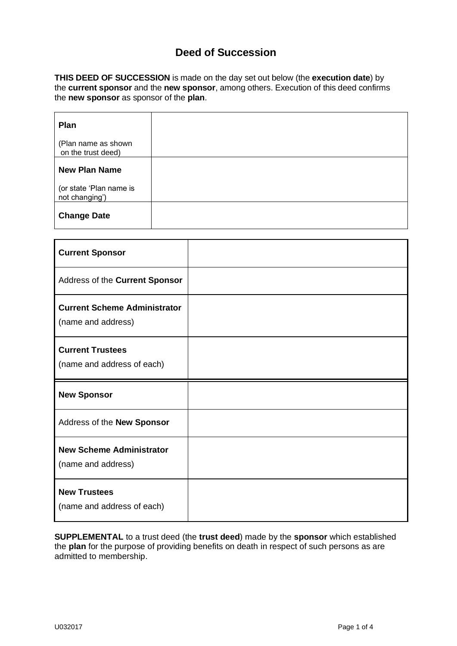## **Deed of Succession**

**THIS DEED OF SUCCESSION** is made on the day set out below (the **execution date**) by the **current sponsor** and the **new sponsor**, among others. Execution of this deed confirms the **new sponsor** as sponsor of the **plan**.

| Plan                                      |  |
|-------------------------------------------|--|
| (Plan name as shown<br>on the trust deed) |  |
| <b>New Plan Name</b>                      |  |
| (or state 'Plan name is<br>not changing') |  |
| <b>Change Date</b>                        |  |

| <b>Current Sponsor</b>                                    |  |
|-----------------------------------------------------------|--|
| Address of the Current Sponsor                            |  |
| <b>Current Scheme Administrator</b><br>(name and address) |  |
| <b>Current Trustees</b><br>(name and address of each)     |  |
|                                                           |  |
| <b>New Sponsor</b>                                        |  |
| Address of the New Sponsor                                |  |
| <b>New Scheme Administrator</b><br>(name and address)     |  |

**SUPPLEMENTAL** to a trust deed (the **trust deed**) made by the **sponsor** which established the **plan** for the purpose of providing benefits on death in respect of such persons as are admitted to membership.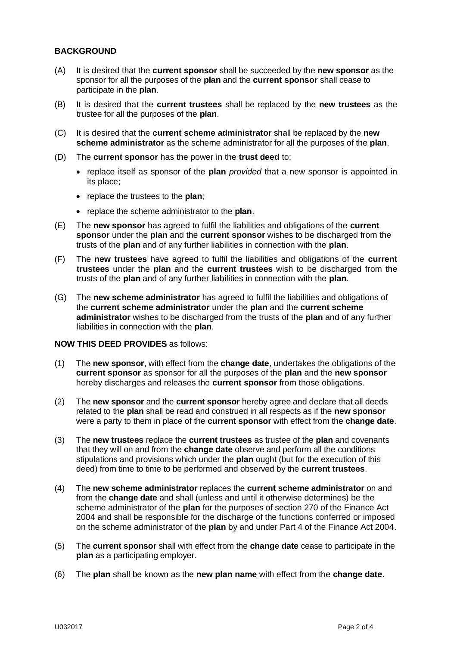## **BACKGROUND**

- (A) It is desired that the **current sponsor** shall be succeeded by the **new sponsor** as the sponsor for all the purposes of the **plan** and the **current sponsor** shall cease to participate in the **plan**.
- (B) It is desired that the **current trustees** shall be replaced by the **new trustees** as the trustee for all the purposes of the **plan**.
- (C) It is desired that the **current scheme administrator** shall be replaced by the **new scheme administrator** as the scheme administrator for all the purposes of the **plan**.
- (D) The **current sponsor** has the power in the **trust deed** to:
	- replace itself as sponsor of the **plan** *provided* that a new sponsor is appointed in its place;
	- replace the trustees to the **plan**;
	- replace the scheme administrator to the **plan**.
- (E) The **new sponsor** has agreed to fulfil the liabilities and obligations of the **current sponsor** under the **plan** and the **current sponsor** wishes to be discharged from the trusts of the **plan** and of any further liabilities in connection with the **plan**.
- (F) The **new trustees** have agreed to fulfil the liabilities and obligations of the **current trustees** under the **plan** and the **current trustees** wish to be discharged from the trusts of the **plan** and of any further liabilities in connection with the **plan**.
- (G) The **new scheme administrator** has agreed to fulfil the liabilities and obligations of the **current scheme administrator** under the **plan** and the **current scheme administrator** wishes to be discharged from the trusts of the **plan** and of any further liabilities in connection with the **plan**.

### **NOW THIS DEED PROVIDES** as follows:

- (1) The **new sponsor**, with effect from the **change date**, undertakes the obligations of the **current sponsor** as sponsor for all the purposes of the **plan** and the **new sponsor** hereby discharges and releases the **current sponsor** from those obligations.
- (2) The **new sponsor** and the **current sponsor** hereby agree and declare that all deeds related to the **plan** shall be read and construed in all respects as if the **new sponsor** were a party to them in place of the **current sponsor** with effect from the **change date**.
- (3) The **new trustees** replace the **current trustees** as trustee of the **plan** and covenants that they will on and from the **change date** observe and perform all the conditions stipulations and provisions which under the **plan** ought (but for the execution of this deed) from time to time to be performed and observed by the **current trustees**.
- (4) The **new scheme administrator** replaces the **current scheme administrator** on and from the **change date** and shall (unless and until it otherwise determines) be the scheme administrator of the **plan** for the purposes of section 270 of the Finance Act 2004 and shall be responsible for the discharge of the functions conferred or imposed on the scheme administrator of the **plan** by and under Part 4 of the Finance Act 2004.
- (5) The **current sponsor** shall with effect from the **change date** cease to participate in the **plan** as a participating employer.
- (6) The **plan** shall be known as the **new plan name** with effect from the **change date**.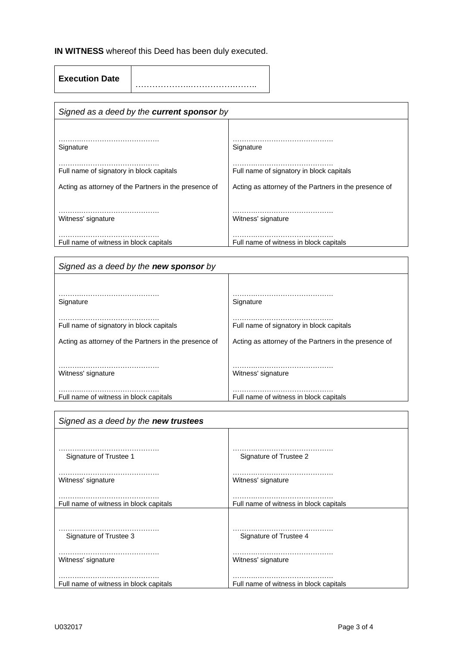# **IN WITNESS** whereof this Deed has been duly executed.

 $\mathsf{r}$ 

**Execution Date** ………………..…………….……..

| Signed as a deed by the <b>current sponsor</b> by     |                                                       |  |
|-------------------------------------------------------|-------------------------------------------------------|--|
|                                                       |                                                       |  |
| Signature                                             | Signature                                             |  |
| Full name of signatory in block capitals              | Full name of signatory in block capitals              |  |
| Acting as attorney of the Partners in the presence of | Acting as attorney of the Partners in the presence of |  |
|                                                       |                                                       |  |
| Witness' signature                                    | Witness' signature                                    |  |
| Full name of witness in block capitals                | Full name of witness in block capitals                |  |

| Signed as a deed by the new sponsor by                |                                                       |  |
|-------------------------------------------------------|-------------------------------------------------------|--|
|                                                       |                                                       |  |
| Signature                                             | Signature                                             |  |
| Full name of signatory in block capitals              | Full name of signatory in block capitals              |  |
| Acting as attorney of the Partners in the presence of | Acting as attorney of the Partners in the presence of |  |
|                                                       |                                                       |  |
| Witness' signature                                    | Witness' signature                                    |  |
| Full name of witness in block capitals                | Full name of witness in block capitals                |  |
|                                                       |                                                       |  |

| Signed as a deed by the new trustees   |                                        |  |
|----------------------------------------|----------------------------------------|--|
|                                        |                                        |  |
| Signature of Trustee 1                 | Signature of Trustee 2                 |  |
| Witness' signature                     | Witness' signature                     |  |
| Full name of witness in block capitals | Full name of witness in block capitals |  |
| Signature of Trustee 3                 | Signature of Trustee 4                 |  |
| Witness' signature                     | Witness' signature                     |  |
| Full name of witness in block capitals | Full name of witness in block capitals |  |

 $\overline{\phantom{a}}$